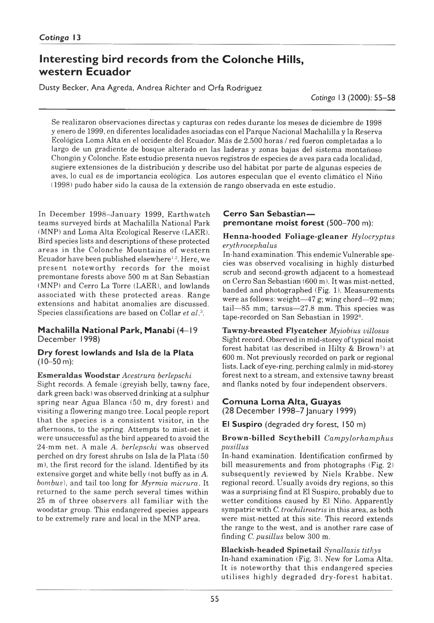# **Interesting bird records from the Colonche Hills, western Ecuador**

Dusty Becker, Ana Agreda, Andrea Richter and Orfa Rodriguez

*Cotinga* 13 (2000): 55–58

Se realizaron observaciones directas y capturas con redes durante los meses de diciembre de 1998 y enero de 1999, en diferentes localidades asociadas con el Parque Nacional Machalilla y la Reserva Ecológica Loma Alta en el occidente del Ecuador. Más de 2.500 horas / red fueron completadas a lo largo de un gradiente de bosque alterado en las laderas y zonas bajas del sistema montañoso Chongón y Colonche. Este estudio presenta nuevos registros de especies de aves para cada localidad, sugiere extensiones de la distribución y describe uso del hábitat por parte de algunas especies de aves, lo cual es de importancia ecológica. Los autores especulan que el evento climático el Niño (1998) pudo haber sido la causa de la extensión de rango observada en este estudio.

In December 1998–January 1999, Earthwatch teams surveyed birds at Machalilla National Park (MNP) and Loma Alta Ecological Reserve (LAER). Bird species lists and descriptions of these protected areas in the Colonche Mountains of western Ecuador have been published elsewhere<sup>1,2</sup>. Here, we present noteworthy records for the moist premontane forests above 500 m at San Sebastian (MNP) and Cerro La Torre (LAER), and lowlands associated with these protected areas. Range extensions and habitat anomalies are discussed. Species classifications are based on Collar *et al.3.*

### **Machalilla National Park, Manabí** (4– 19 December 1998)

#### Dry forest lowlands and Isla de la Plata (10–50 m):

**Esmeraldas Woodstar** *Acestrura berlepschi* Sight records. A female (greyish belly, tawny face, dark green back) was observed drinking at a sulphur spring near Agua Blanca (50 m, dry forest) and visiting a flowering mango tree. Local people report that the species is a consistent visitor, in the afternoons, to the spring. Attempts to mist-net it were unsuccessful as the bird appeared to avoid the 24-mm net. A male *A. berlepschi* was observed perched on dry forest shrubs on Isla de la Plata (50 m), the first record for the island. Identified by its extensive gorget and white belly (not buffy as in *A. bombus*), and tail too long for *Myrmia mientra.* It returned to the same perch several times within 25 m of three observers all familiar with the woodstar group. This endangered species appears to be extremely rare and local in the MNP area.

# **Cerro San Sebastian** premontane moist forest (500-700 m):

### H enna-hooded F oliage-gleaner *Hylocryptus erythrocephalus*

In-hand examination. This endemic Vulnerable species was observed vocalising in highly disturbed scrub and second-growth adjacent to a homestead on Cerro San Sebastian (600 m). It was mist-netted, banded and photographed (Fig. 1). Measurements were as follows: weight-47 g; wing chord-92 mm;  $tail$   $-85$  mm; tarsus $-27.8$  mm. This species was tape-recorded on San Sebastian in 1992<sup>6</sup>.

**Tawny-breasted Flycatcher** *Myiobius villosus* Sight record. Observed in mid-storey of typical moist forest habitat (as described in Hilty & Brown<sup>5</sup>) at 600 m. Not previously recorded on park or regional lists. Lack of eye-ring, perching calmly in mid-storey forest next to a stream, and extensive tawny breast and flanks noted by four independent observers.

### **Com una Loma Alta, Guayas** (28 December 1998–7 January 1999)

El Suspiro (degraded dry forest, 150 m)

**Brow n-billed Scythebill** *Campylorhamphus pusillus*

In-hand examination. Identification confirmed by bill measurements and from photographs (Fig. 2) subsequently reviewed by Niels Krabbe. New regional record. Usually avoids dry regions, so this was a surprising find at El Suspiro, probably due to wetter conditions caused by El Niño. Apparently sympatric with *C. trochilirostris* in this area, as both were mist-netted at this site. This record extends the range to the west, and is another rare case of finding *C. pusillus* below 300 m.

**Blackish-headed Spinetail** *Synallaxis tithys* In-hand examination (Fig. 3). New for Loma Alta. It is noteworthy that this endangered species utilises highly degraded dry-forest habitat.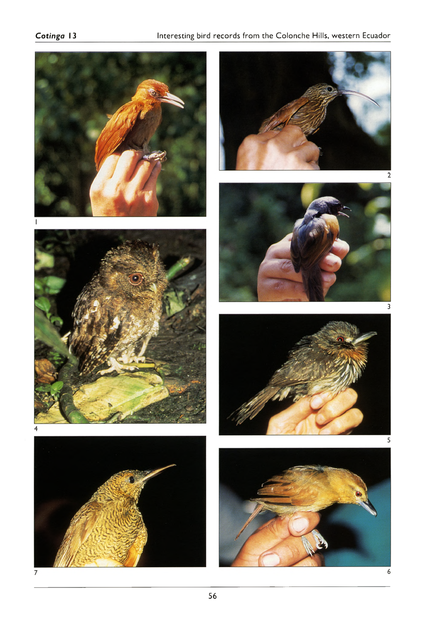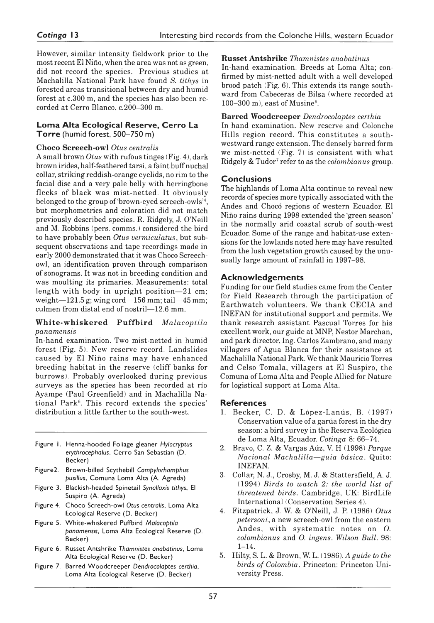However, similar intensity fieldwork prior to the most recent El Niño, when the area was not as green, did not record the species. Previous studies at Machalilla National Park have found *S. tithys* in forested areas transitional between dry and humid forest at c.300 m, and the species has also been recorded at Cerro Blanco, c. 200–300 m.

### **Loma Alta Ecological Reserve, Cerro La Torre** (humid forest, 500–750 m)

# **Choco Screech-Owl** *Otus centralis*

A small brown *Otus* with rufous tinges (Fig. 4), dark brown irides, half-feathered tarsi, a faint buff nuchal collar, striking reddish-orange eyelids, no rim to the facial disc and a very pale belly with herringbone flecks of black was mist-netted. It obviously belonged to the group of 'brown-eyed screech-owls'4, but morphometries and coloration did not match previously described species. R. Ridgely, J. O'Neill and M. Robbins (pers. comms.) considered the bird to have probably been *Otus vermiculatus*, but subsequent observations and tape recordings made in early 2000 demonstrated that it was Choco Screechowl, an identification proven through comparison of sonograms. It was not in breeding condition and was moulting its primaries. Measurements: total length with body in upright position-21 cm; weight $-121.5$  g; wing cord $-156$  mm; tail $-45$  mm; culmen from distal end of nostril-12.6 mm.

#### **W h ite-w hiskered P uffbird** *Malacoptila panamensis*

In-hand examination. Two mist-netted in humid forest (Fig. 5). New reserve record. Landslides caused by El Niño rains may have enhanced breeding habitat in the reserve (cliff banks for burrows). Probably overlooked during previous surveys as the species has been recorded at río Ayampe (Paul Greenfield) and in Machalilla National Park<sup>6</sup>. This record extends the species' distribution a little farther to the south-west.

- Figure 1. Henna-hooded Foliage gleaner Hylocryptus erythrocephalus, Cerro San Sebastian (D. Becker)
- Figure 2. Brown-billed Scythebill *Campylorhamphus* pusillus, Comuna Loma Alta (A. Agreda)
- Figure 3. Blackish-headed Spinetail Synallaxis tithys, El Suspiro (A. Agreda)
- Figure 4. Choco Screech-owl Otus centralis, Loma Alta Ecological Reserve (D. Becker)
- Figure 5. White-whiskered Puffbird Malacoptila panamensis, Loma Alta Ecological Reserve (D. Becker)
- Figure 6. Russet Antshrike *Thamnistes anabatinus*, Loma Alta Ecological Reserve (D. Becker)
- Figure 7. Barred Woodcreeper Dendrocolaptes certhia, Loma Alta Ecological Reserve (D. Becker)

#### **Russet Antshrike** *Thamnistes anabatinus*

In-hand examination. Breeds at Loma Alta; confirmed by mist-netted adult with a well-developed brood patch (Fig. 6). This extends its range southward from Cabeceras de Bilsa (where recorded at  $100-300$  m), east of Musine<sup>6</sup>.

# **Barred Woodcreeper** *Dendrocolaptes certhia*

In-hand examination. New reserve and Colonche Hills region record. This constitutes a southwestward range extension. The densely barred form we mist-netted (Fig. 7) is consistent with what Ridgely & Tudor7 refer to as the *colombianus* group.

# **Conclusions**

The highlands of Loma Alta continue to reveal new records of species more typically associated with the Andes and Chocó regions of western Ecuador. El Niño rains during 1998 extended the 'green season' in the normally arid coastal scrub of south-west Ecuador. Some of the range and habitat-use extensions for the lowlands noted here may have resulted from the lush vegetation growth caused by the unusually large amount of rainfall in 1997–98.

# **Acknow ledgem ents**

Funding for our field studies came from the Center for Field Research through the participation of Earthwatch volunteers. We thank CECIA and INEFAN for institutional support and permits. We thank research assistant Pascual Torres for his excellent work, our guide at MNP, Nestor Marchan, and park director, Ing. Carlos Zambrano, and many villagers of Agua Blanca for their assistance at Machalilla National Park. We thank Mauricio Torres and Celso Tomala, villagers at El Suspiro, the Comuna of Loma Alta and People Allied for Nature for logistical support at Loma Alta.

# **References**

- 1. Becker, C. D. & López-Lanús, B. (1997) Conservation value of a garúa forest in the dry season: a bird survey in the Reserva Ecológica de Loma Alta, Ecuador. *Cotinga* 8: 66–74.
- 2. Bravo, C. Z. & Vargas Aúz, V. H (1998) *Parque Nacional Machalilla — guia básica.* Quito: INEFAN.
- 3. Collar, N. J., Crosby, M. J. & Stattersfield, A. J. (1994) *Birds to watch 2: the world list of threatened birds.* Cambridge, UK: BirdLife International (Conservation Series 4).
- 4. Fitzpatrick, J. W. & O'Neill, J. P. (1986) *Otus petersoni,* a new screech-owl from the eastern Andes, with systematic notes on O. *colombianus* and *O. ingens. Wilson Bull.* 98: 1–14.
- 5. Hilty, S. L. & Brown, W. L. ( 1986). *A guide to the birds of Colombia .* Princeton: Princeton University Press.